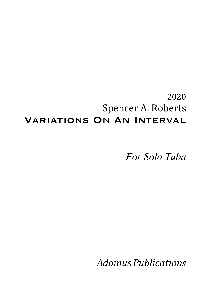## 2020 Spencer A. Roberts Variations On An Interval

*For Solo Tuba*

*Adomus Publications*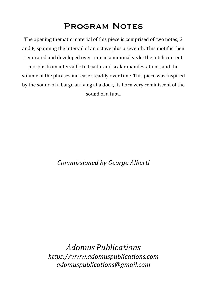## Program Notes

The opening thematic material of this piece is comprised of two notes, G and F, spanning the interval of an octave plus a seventh. This motif is then reiterated and developed over time in a minimal style; the pitch content morphs from intervallic to triadic and scalar manifestations, and the volume of the phrases increase steadily over time. This piece was inspired by the sound of a barge arriving at a dock, its horn very reminiscent of the sound of a tuba.

*Commissioned by George Alberti*

*Adomus Publications https://www.adomuspublications.com adomuspublications@gmail.com*